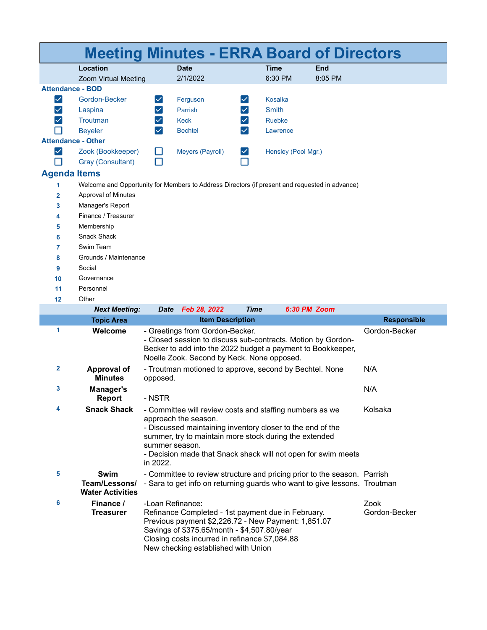|                      |                                                                                                |                                                                                                                                                                                                                                                                                                                    | <b>Meeting Minutes - ERRA Board of Directors</b>                                                                                                                                                                                                                      |                                             |                     |         |                       |  |  |
|----------------------|------------------------------------------------------------------------------------------------|--------------------------------------------------------------------------------------------------------------------------------------------------------------------------------------------------------------------------------------------------------------------------------------------------------------------|-----------------------------------------------------------------------------------------------------------------------------------------------------------------------------------------------------------------------------------------------------------------------|---------------------------------------------|---------------------|---------|-----------------------|--|--|
|                      | Location                                                                                       |                                                                                                                                                                                                                                                                                                                    | <b>Date</b>                                                                                                                                                                                                                                                           |                                             | <b>Time</b>         | End     |                       |  |  |
|                      | Zoom Virtual Meeting                                                                           |                                                                                                                                                                                                                                                                                                                    | 2/1/2022                                                                                                                                                                                                                                                              |                                             | 6:30 PM             | 8:05 PM |                       |  |  |
|                      | <b>Attendance - BOD</b>                                                                        |                                                                                                                                                                                                                                                                                                                    |                                                                                                                                                                                                                                                                       |                                             |                     |         |                       |  |  |
| $\blacktriangledown$ | Gordon-Becker                                                                                  | $\blacktriangledown$                                                                                                                                                                                                                                                                                               | Ferguson                                                                                                                                                                                                                                                              | $\blacktriangledown$                        | <b>Kosalka</b>      |         |                       |  |  |
| $\blacktriangledown$ | Laspina                                                                                        | $\checkmark$                                                                                                                                                                                                                                                                                                       | Parrish                                                                                                                                                                                                                                                               | $\vert\checkmark\vert$                      | <b>Smith</b>        |         |                       |  |  |
| $\blacktriangledown$ | Troutman                                                                                       | $\checkmark$                                                                                                                                                                                                                                                                                                       | <b>Keck</b>                                                                                                                                                                                                                                                           | $\blacktriangledown$                        | Ruebke              |         |                       |  |  |
|                      | <b>Beyeler</b>                                                                                 | $\checkmark$                                                                                                                                                                                                                                                                                                       | <b>Bechtel</b>                                                                                                                                                                                                                                                        | $\vert\mathcal{\mathcal{\mathcal{L}}}\vert$ | Lawrence            |         |                       |  |  |
|                      | <b>Attendance - Other</b>                                                                      |                                                                                                                                                                                                                                                                                                                    |                                                                                                                                                                                                                                                                       |                                             |                     |         |                       |  |  |
| $\blacktriangledown$ | Zook (Bookkeeper)                                                                              | H                                                                                                                                                                                                                                                                                                                  | Meyers (Payroll)                                                                                                                                                                                                                                                      | $\vert\checkmark\vert$                      | Hensley (Pool Mgr.) |         |                       |  |  |
|                      | Gray (Consultant)                                                                              |                                                                                                                                                                                                                                                                                                                    |                                                                                                                                                                                                                                                                       |                                             |                     |         |                       |  |  |
|                      | <b>Agenda Items</b>                                                                            |                                                                                                                                                                                                                                                                                                                    |                                                                                                                                                                                                                                                                       |                                             |                     |         |                       |  |  |
| 1                    | Welcome and Opportunity for Members to Address Directors (if present and requested in advance) |                                                                                                                                                                                                                                                                                                                    |                                                                                                                                                                                                                                                                       |                                             |                     |         |                       |  |  |
| $\overline{2}$       | Approval of Minutes                                                                            |                                                                                                                                                                                                                                                                                                                    |                                                                                                                                                                                                                                                                       |                                             |                     |         |                       |  |  |
| 3                    | Manager's Report                                                                               |                                                                                                                                                                                                                                                                                                                    |                                                                                                                                                                                                                                                                       |                                             |                     |         |                       |  |  |
| 4                    | Finance / Treasurer                                                                            |                                                                                                                                                                                                                                                                                                                    |                                                                                                                                                                                                                                                                       |                                             |                     |         |                       |  |  |
| 5                    | Membership                                                                                     |                                                                                                                                                                                                                                                                                                                    |                                                                                                                                                                                                                                                                       |                                             |                     |         |                       |  |  |
| 6                    | Snack Shack                                                                                    |                                                                                                                                                                                                                                                                                                                    |                                                                                                                                                                                                                                                                       |                                             |                     |         |                       |  |  |
| 7                    | Swim Team                                                                                      |                                                                                                                                                                                                                                                                                                                    |                                                                                                                                                                                                                                                                       |                                             |                     |         |                       |  |  |
| 8                    | Grounds / Maintenance                                                                          |                                                                                                                                                                                                                                                                                                                    |                                                                                                                                                                                                                                                                       |                                             |                     |         |                       |  |  |
| 9                    | Social                                                                                         |                                                                                                                                                                                                                                                                                                                    |                                                                                                                                                                                                                                                                       |                                             |                     |         |                       |  |  |
| 10                   | Governance                                                                                     |                                                                                                                                                                                                                                                                                                                    |                                                                                                                                                                                                                                                                       |                                             |                     |         |                       |  |  |
| 11                   | Personnel                                                                                      |                                                                                                                                                                                                                                                                                                                    |                                                                                                                                                                                                                                                                       |                                             |                     |         |                       |  |  |
| 12                   | Other                                                                                          |                                                                                                                                                                                                                                                                                                                    |                                                                                                                                                                                                                                                                       |                                             |                     |         |                       |  |  |
|                      | <b>Next Meeting:</b>                                                                           | <b>Date</b>                                                                                                                                                                                                                                                                                                        | Feb 28, 2022                                                                                                                                                                                                                                                          | <b>Time</b>                                 | 6:30 PM Zoom        |         |                       |  |  |
|                      | <b>Topic Area</b>                                                                              |                                                                                                                                                                                                                                                                                                                    | <b>Item Description</b>                                                                                                                                                                                                                                               |                                             |                     |         | <b>Responsible</b>    |  |  |
| 1                    | Welcome                                                                                        | - Greetings from Gordon-Becker.<br>- Closed session to discuss sub-contracts. Motion by Gordon-<br>Becker to add into the 2022 budget a payment to Bookkeeper,<br>Noelle Zook. Second by Keck. None opposed.                                                                                                       |                                                                                                                                                                                                                                                                       |                                             |                     |         | Gordon-Becker         |  |  |
| 2                    | Approval of<br><b>Minutes</b>                                                                  | opposed.                                                                                                                                                                                                                                                                                                           | - Troutman motioned to approve, second by Bechtel. None                                                                                                                                                                                                               |                                             |                     |         | N/A                   |  |  |
| 3                    | Manager's<br>Report                                                                            | - NSTR                                                                                                                                                                                                                                                                                                             |                                                                                                                                                                                                                                                                       |                                             |                     |         | N/A                   |  |  |
| 4                    | <b>Snack Shack</b>                                                                             | Kolsaka<br>- Committee will review costs and staffing numbers as we<br>approach the season.<br>- Discussed maintaining inventory closer to the end of the<br>summer, try to maintain more stock during the extended<br>summer season.<br>- Decision made that Snack shack will not open for swim meets<br>in 2022. |                                                                                                                                                                                                                                                                       |                                             |                     |         |                       |  |  |
| 5                    | <b>Swim</b><br>Team/Lessons/<br><b>Water Activities</b>                                        |                                                                                                                                                                                                                                                                                                                    | - Committee to review structure and pricing prior to the season. Parrish<br>- Sara to get info on returning guards who want to give lessons. Troutman                                                                                                                 |                                             |                     |         |                       |  |  |
| 6                    | Finance /<br><b>Treasurer</b>                                                                  |                                                                                                                                                                                                                                                                                                                    | -Loan Refinance:<br>Refinance Completed - 1st payment due in February.<br>Previous payment \$2,226.72 - New Payment: 1,851.07<br>Savings of \$375.65/month - \$4,507.80/year<br>Closing costs incurred in refinance \$7,084.88<br>New checking established with Union |                                             |                     |         | Zook<br>Gordon-Becker |  |  |